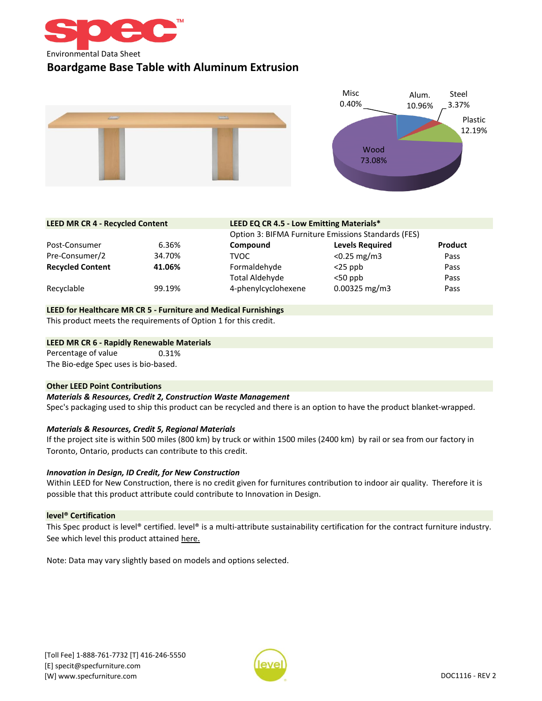

# **Boardgame Base Table with Aluminum Extrusion**



| <b>LEED MR CR 4 - Recycled Content</b> |        | LEED EQ CR 4.5 - Low Emitting Materials*            |                        |                |
|----------------------------------------|--------|-----------------------------------------------------|------------------------|----------------|
|                                        |        | Option 3: BIFMA Furniture Emissions Standards (FES) |                        |                |
| Post-Consumer                          | 6.36%  | Compound                                            | <b>Levels Required</b> | <b>Product</b> |
| Pre-Consumer/2                         | 34.70% | <b>TVOC</b>                                         | $< 0.25$ mg/m3         | Pass           |
| <b>Recycled Content</b>                | 41.06% | Formaldehyde                                        | $<$ 25 ppb             | Pass           |
|                                        |        | Total Aldehyde                                      | $<$ 50 ppb             | Pass           |
| Recyclable                             | 99.19% | 4-phenylcyclohexene                                 | $0.00325$ mg/m3        | Pass           |

## **LEED for Healthcare MR CR 5 - Furniture and Medical Furnishings**

This product meets the requirements of Option 1 for this credit.

#### **LEED MR CR 6 - Rapidly Renewable Materials**

0.31% The Bio-edge Spec uses is bio-based. Percentage of value

#### **Other LEED Point Contributions**

#### *Materials & Resources, Credit 2, Construction Waste Management*

Spec's packaging used to ship this product can be recycled and there is an option to have the product blanket-wrapped.

## *Materials & Resources, Credit 5, Regional Materials*

If the project site is within 500 miles (800 km) by truck or within 1500 miles (2400 km) by rail or sea from our factory in Toronto, Ontario, products can contribute to this credit.

## *Innovation in Design, ID Credit, for New Construction*

Within LEED for New Construction, there is no credit given for furnitures contribution to indoor air quality. Therefore it is possible that this product attribute could contribute to Innovation in Design.

## **level® Certification**

[This](https://level.ecomedes.com/?level-level=3&query=Spec%20Furniture&brand-name=Spec%2520Furniture) [Spec](https://level.ecomedes.com/?level-level=3&query=Spec%20Furniture&brand-name=Spec%2520Furniture) [product](https://level.ecomedes.com/?level-level=3&query=Spec%20Furniture&brand-name=Spec%2520Furniture) is [level®](https://level.ecomedes.com/?level-level=3&query=Spec%20Furniture&brand-name=Spec%2520Furniture) [certified.](https://level.ecomedes.com/?level-level=3&query=Spec%20Furniture&brand-name=Spec%2520Furniture) level® is a [multi-attribute](https://level.ecomedes.com/?level-level=3&query=Spec%20Furniture&brand-name=Spec%2520Furniture) sustainability certification for the contract furniture industry. [See which level this product attained h](https://level.ecomedes.com/?level-level=3&query=Spec%20Furniture&brand-name=Spec%2520Furniture)ere.

Note: Data may vary slightly based on models and options selected.